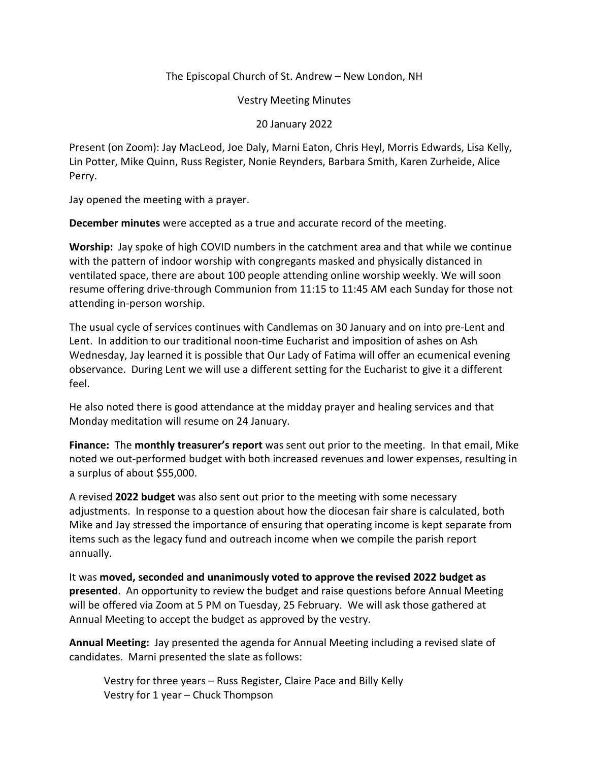## The Episcopal Church of St. Andrew – New London, NH

Vestry Meeting Minutes

## 20 January 2022

Present (on Zoom): Jay MacLeod, Joe Daly, Marni Eaton, Chris Heyl, Morris Edwards, Lisa Kelly, Lin Potter, Mike Quinn, Russ Register, Nonie Reynders, Barbara Smith, Karen Zurheide, Alice Perry.

Jay opened the meeting with a prayer.

**December minutes** were accepted as a true and accurate record of the meeting.

**Worship:** Jay spoke of high COVID numbers in the catchment area and that while we continue with the pattern of indoor worship with congregants masked and physically distanced in ventilated space, there are about 100 people attending online worship weekly. We will soon resume offering drive-through Communion from 11:15 to 11:45 AM each Sunday for those not attending in-person worship.

The usual cycle of services continues with Candlemas on 30 January and on into pre-Lent and Lent. In addition to our traditional noon-time Eucharist and imposition of ashes on Ash Wednesday, Jay learned it is possible that Our Lady of Fatima will offer an ecumenical evening observance. During Lent we will use a different setting for the Eucharist to give it a different feel.

He also noted there is good attendance at the midday prayer and healing services and that Monday meditation will resume on 24 January.

**Finance:** The **monthly treasurer's report** was sent out prior to the meeting. In that email, Mike noted we out-performed budget with both increased revenues and lower expenses, resulting in a surplus of about \$55,000.

A revised **2022 budget** was also sent out prior to the meeting with some necessary adjustments. In response to a question about how the diocesan fair share is calculated, both Mike and Jay stressed the importance of ensuring that operating income is kept separate from items such as the legacy fund and outreach income when we compile the parish report annually.

It was **moved, seconded and unanimously voted to approve the revised 2022 budget as presented**. An opportunity to review the budget and raise questions before Annual Meeting will be offered via Zoom at 5 PM on Tuesday, 25 February. We will ask those gathered at Annual Meeting to accept the budget as approved by the vestry.

**Annual Meeting:** Jay presented the agenda for Annual Meeting including a revised slate of candidates. Marni presented the slate as follows:

Vestry for three years – Russ Register, Claire Pace and Billy Kelly Vestry for 1 year – Chuck Thompson